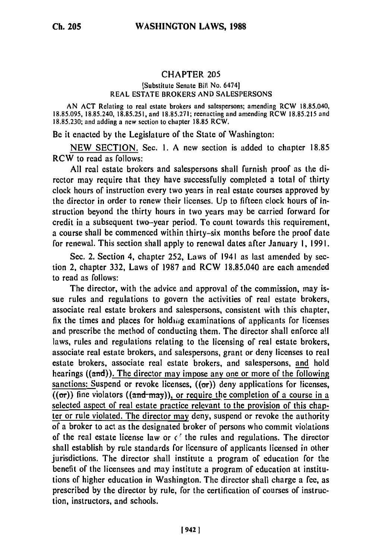## CHAPTER **205**

## [Substitute Senate Bill No. 6474] REAL ESTATE BROKERS AND SALESPERSONS

AN ACT Relating to real estate brokers and salespersons; amending RCW 18.85.040, 18.85.095, 18.85.240, 18.85.251, and 18.85.271; reenacting and amending RCW 18.85.215 and 18.85.230; and adding a new section to chapter 18.85 RCW.

Be it enacted by the Legislature of the State of Washington:

NEW SECTION. Sec. 1. A new section is added to chapter 18.85 RCW to read as follows:

All real estate brokers and salespersons shall furnish proof as the director may require that they have successfully completed a total of thirty clock hours of instruction every two years in real estate courses approved by the director in order to renew their licenses. Up to fifteen clock hours of instruction beyond the thirty hours in two years may be carried forward for credit in a subsequent two-year period. To count towards this requirement, a course shall be commenced within thirty-six months before the proof date for renewal. This section shall apply to renewal dates after January **1,** 1991.

Sec. 2. Section 4, chapter 252, Laws of 1941 as last amended by section 2, chapter 332, Laws of 1987 and RCW 18.85.040 are each amended to read as follows:

The director, with the advice and approval of the commission, may issue rules and regulations to govern the activities of real estate brokers, associate real estate brokers and salespersons, consistent with this chapter, fix the times and places for holding examinations of applicants for licenses and prescribe the method of conducting them. The director shall enforce all laws, rules and regulations relating to the licensing of real estate brokers, associate real estate brokers, and salespersons, grant or deny licenses to real estate brokers, associate real estate brokers, and salespersons, and hold hearings  $((and))$ . The director may impose any one or more of the following sanctions: Suspend or revoke licenses,  $(6\sigma)$  deny applications for licenses,  $((\sigma r))$  fine violators  $((\text{and-} \text{may}))$ , or require the completion of a course in a selected aspect of real estate practice relevant to the provision of this chapter or rule violated. The director may deny, suspend or revoke the authority of a broker to act as the designated broker of persons who commit violations of the real estate license law or  $\epsilon$  the rules and regulations. The director shall establish by rule standards for licensure of applicants licensed in other jurisdictions. The director shall institute a program of education for the benefit of the licensees and may institute a program of education at institutions of higher education in Washington. The director shall charge a fee, as prescribed by the director by rule, for the certification of courses of instruction, instructors, and schools.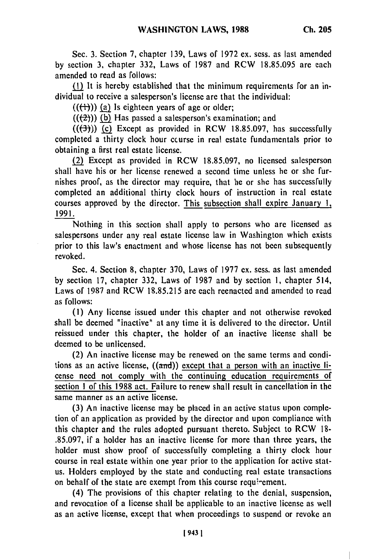Sec. 3. Section **7,** chapter 139, Laws of 1972 ex. sess. as last amended by section 3, chapter 332, Laws of 1987 and RCW 18.85.095 are each amended to read as follows:

 $(1)$  It is hereby established that the minimum requirements for an individual to receive a salesperson's license are that the individual:

 $((+))$  (a) Is eighteen years of age or older;

 $((2))$  (b) Has passed a salesperson's examination; and

 $((\leftarrow{\rightarrow})$ ) (c) Except as provided in RCW 18.85.097, has successfully completed a thirty clock hour course in real estate fundamentals prior to obtaining a first real estate license.

(2) Except as provided in RCW 18.85.097, no licensed salesperson shall have his or her license renewed a second time unless he or she furnishes proof, as the director may require, that he or she has successfully completed an additional thirty clock hours of instruction in real estate courses approved by the director. This subsection shall expire January **1,** 1991.

Nothing in this section shall apply to persons who are licensed as salespersons under any real estate license law in Washington which exists prior to this law's enactment and whose license has not been subsequently revoked.

Sec. 4. Section 8, chapter 370, Laws of 1977 ex. sess. as last amended by section 17, chapter 332, Laws of 1987 and by section **1,** chapter 514, Laws of 1987 and RCW 18.85.215 are each reenacted and amended to read as follows:

**(1)** Any license issued under this chapter and not otherwise revoked shall be deemed "inactive" at any time it is delivered to the director. Until reissued under this chapter, the holder of an inactive license shall be deemed to be unlicensed.

(2) An inactive license may be renewed on the same terms and conditions as an active license,  $((\text{and}))$  except that a person with an inactive license need not comply with the continuing education requirements of section **I** of this 1988 act. Failure to renew shall result in cancellation in the same manner as an active license.

(3) An inactive license may be placed in an active status upon completion of an application as provided by the director and upon compliance with this chapter and the rules adopted pursuant thereto. Subject to RCW 18- .85.097, if a holder has an inactive license for more than three years, the holder must show proof of successfully completing a thirty clock hour course in real estate within one year prior to the application for active status. Holders employed by the state and conducting real estate transactions on behalf of the state are exempt from this course requirement.

(4) The provisions of this chapter relating to the denial, suspension, and revocation of a license shall be applicable to an inactive license as well as an active license, except that when proceedings to suspend or revoke an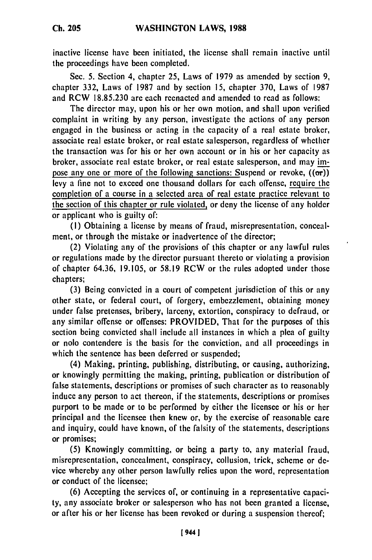**Ch. 205**

inactive license have been initiated, the license shall remain inactive until the proceedings have been completed.

Sec. 5. Section 4, chapter 25, Laws of 1979 as amended by section 9, chapter 332, Laws of 1987 and by section 15, chapter 370, Laws of 1987 and RCW 18.85.230 are each reenacted and amended to read as follows:

The director may, upon his or her own motion, and shall upon verified complaint in writing by any person, investigate the actions of any person engaged in the business or acting in the capacity of a real estate broker, associate real estate broker, or real estate salesperson, regardless of whether the transaction was for his or her own account or in his or her capacity as broker, associate real estate broker, or real estate salesperson, and may impose any one or more of the following sanctions: Suspend or revoke,  $((\sigma r))$ levy a fine not to exceed one thousand dollars for each offense, require the completion of a course in a selected area of real estate practice relevant to the section of this chapter or rule violated, or deny the license of any holder or applicant who is guilty of:

(I) Obtaining a license by means of fraud, misrepresentation, concealment, or through the mistake or inadvertence of the director;

(2) Violating any of the provisions of this chapter or any lawful rules or regulations made by the director pursuant thereto or violating a provision of chapter 64.36, 19.105, or 58.19 RCW or the rules adopted under those chapters;

(3) Being convicted in a court of competent jurisdiction of this or any other state, or federal court, of forgery, embezzlement, obtaining money under false pretenses, bribery, larceny, extortion, conspiracy to defraud, or any similar offense or offenses: PROVIDED, That for the purposes of this section being convicted shall include all instances in which a plea of guilty or nolo contendere is the basis for the conviction, and all proceedings in which the sentence has been deferred or suspended;

(4) Making, printing, publishing, distributing, or causing, authorizing, or knowingly permitting the making, printing, publication or distribution of false statements, descriptions or promises of such character as to reasonably induce any person to act thereon, if the statements, descriptions or promises purport to be made or to be performed by either the licensee or his or her principal and the licensee then knew or, by the exercise of reasonable care and inquiry, could have known, of the falsity of the statements, descriptions or promises;

(5) Knowingly committing, or being a party to, any material fraud, misrepresentation, concealment, conspiracy, collusion, trick, scheme or device whereby any other person lawfully relies upon the word, representation or conduct of the licensee;

(6) Accepting the services of, or continuing in a representative capacity, any associate broker or salesperson who has not been granted a license, or after his or her license has been revoked or during a suspension thereof;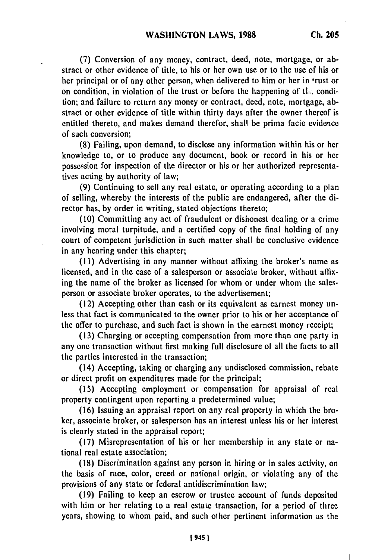**(7)** Conversion of any money, contract, deed, note, mortgage, or abstract or other evidence of title, to his or her own use or to the use of his or her principal or of any other person, when delivered to him or her in 'rust or on condition, in violation of the trust or before the happening of ti.. condition; and failure to return any money or contract, deed, note, mortgage, abstract or other evidence of title within thirty days after the owner thereof is entitled thereto, and makes demand therefor, shall be prima facie evidence of such conversion;

**(8)** Failing, upon demand, to disclose any information within his or her knowledge to, or to produce any document, book or record in his or her possession for inspection of the director or his or her authorized representatives acting **by** authority of law;

(9) Continuing to sell any real estate, or operating according to a plan of selling, whereby the interests of the public are endangered, after the director has, **by** order in writing, stated objections thereto;

**(10)** Committing any act of fraudulent or dishonest dealing or a crime involving moral turpitude, and a certified copy of the final holding of any court of competent jurisdiction in such matter shall **be** conclusive evidence in any hearing under this chapter;

**(11)** Advertising in any manner without affixing the broker's name as licensed, and in the case of a salesperson or associate broker, without affixing the name of the broker as licensed for whom or under whom the salesperson or associate broker operates, to the advertisement;

(12) Accepting other than cash or its equivalent as earnest money unless that fact is communicated to the owner prior to his or her acceptance of the offer to purchase, and such fact is shown in the earnest money receipt;

(13) Charging or accepting compensation from more than one party in any one transaction without first making full disclosure ol all the facts to all the parties interested in the transaction;

(14) Accepting, taking or charging any undisclosed commission, rebate or direct profit on expenditures made for the principal;

(15) Accepting employment or compensation for appraisal of real property contingent upon reporting a predetermined value;

(16) Issuing an appraisal report on any real property in which the broker, associate broker, or salesperson has an interest unless his or her interest is clearly stated in the appraisal report;

(17) Misrepresentation of his or her membership in any state or national real estate association;

(18) Discrimination against any person in hiring or in sales activity, on the basis of race, color, creed or national origin, or violating any of the provisions of any state or federal antidiscrimination law;

(19) Failing to keep an escrow or trustee account of funds deposited with him or her relating to a real estate transaction, for a period of three years, showing to whom paid, and such other pertinent information as the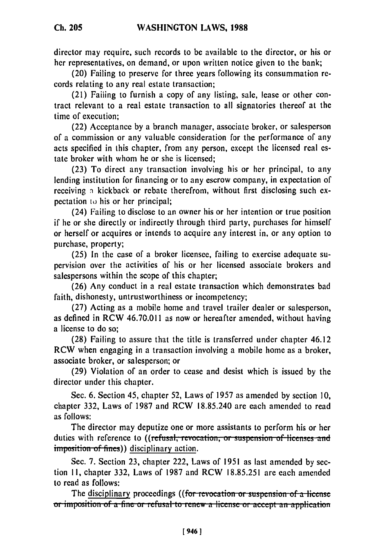**Ch. 205**

director may require, such records to be available to the director, or his or her representatives, on demand, or upon written notice given to the bank;

(20) Failing to preserve for three years following its consummation records relating to any real estate transaction;

(21) Failing to furnish a copy of any listing, sale, lease or other contract relevant to a real estate transaction to all signatories thereof at the time of execution;

(22) Acceptance **by** a branch manager, associate broker, or salesperson of a commission or any valuable consideration for the performance of any acts specified in this chapter, from any person, except the licensed real estate broker with whom he or she is licensed;

(23) To direct any transaction involving his or her principal, to any lending institution for financing or to any escrow company, in expectation of receiving n kickback or rebate therefrom, without first disclosing such expectation **to** his or her principal;

(24) Failing to disclose to an owner his or her intention or true position if he or she directly or indirectly through third party, purchases for himself or herself or acquires or intends to acquire any interest in, or any option to purchase, property;

**(25)** In the case of a broker licensee, failing to exercise adequate supervision over the activities of his or her licensed associate brokers and salespersons within the scope of this chapter;

(26) Any conduct in a real estate transaction which demonstrates bad faith, dishonesty, untrustworthiness or incompetency;

**(27)** Acting as a mobile home and travel trailer dealer or salesperson, as defined in RCW 46.70.011 as now or hereafter amended, without having a license to do so;

**(28)** Failing to assure that the title is transferred under chapter 46.12 RCW when engaging in a transaction involving a mobile home as a broker, associate broker, or salesperson; or

**(29)** Violation of an order to cease and desist which is issued **by** the director under this chapter.

Sec. 6. Section 45, chapter 52, Laws of 1957 as amended **by** section **10,** chapter 332, Laws of **1987** and RCW 18.85.240 are each amended to read as follows:

The director may deputize one or more assistants to perform his or her duties with reference to ((refusal, revocation, or suspension of licenses and imposition of fines)) disciplinary action.

Sec. **7.** Section **23,** chapter 222, Laws of **1951** as last amended **by sec**tion **11,** chapter **332,** Laws of **1987** and RCW **18.85.251** are each amended to read as follows:

The disciplinary proceedings ((for revocation or suspension of a license or imposition of a fine or refusal to renew a license or accept an application